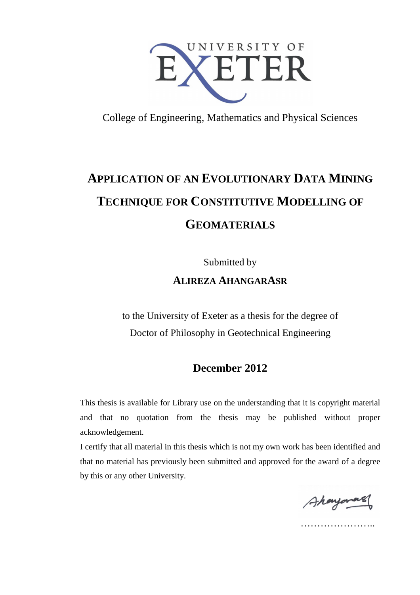

College of Engineering, Mathematics and Physical Sciences

# **APPLICATION OF AN EVOLUTIONARY DATA MINING TECHNIQUE FOR CONSTITUTIVE MODELLING OF GEOMATERIALS**

Submitted by

**ALIREZA AHANGARASR**

to the University of Exeter as a thesis for the degree of Doctor of Philosophy in Geotechnical Engineering

### **December 2012**

This thesis is available for Library use on the understanding that it is copyright material and that no quotation from the thesis may be published without proper acknowledgement.

I certify that all material in this thesis which is not my own work has been identified and that no material has previously been submitted and approved for the award of a degree by this or any other University.

Ahonyonas

…………………..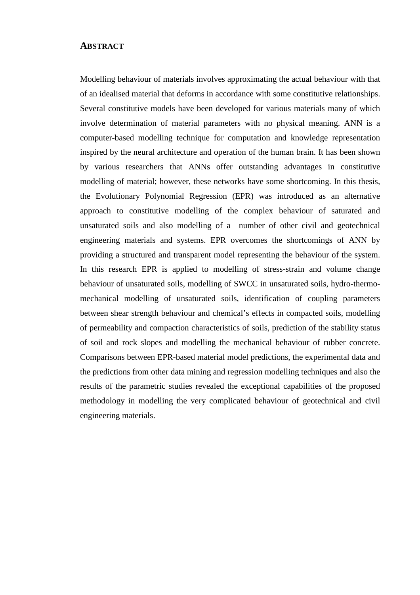#### **ABSTRACT**

Modelling behaviour of materials involves approximating the actual behaviour with that of an idealised material that deforms in accordance with some constitutive relationships. Several constitutive models have been developed for various materials many of which involve determination of material parameters with no physical meaning. ANN is a computer-based modelling technique for computation and knowledge representation inspired by the neural architecture and operation of the human brain. It has been shown by various researchers that ANNs offer outstanding advantages in constitutive modelling of material; however, these networks have some shortcoming. In this thesis, the Evolutionary Polynomial Regression (EPR) was introduced as an alternative approach to constitutive modelling of the complex behaviour of saturated and unsaturated soils and also modelling of a number of other civil and geotechnical engineering materials and systems. EPR overcomes the shortcomings of ANN by providing a structured and transparent model representing the behaviour of the system. In this research EPR is applied to modelling of stress-strain and volume change behaviour of unsaturated soils, modelling of SWCC in unsaturated soils, hydro-thermomechanical modelling of unsaturated soils, identification of coupling parameters between shear strength behaviour and chemical's effects in compacted soils, modelling of permeability and compaction characteristics of soils, prediction of the stability status of soil and rock slopes and modelling the mechanical behaviour of rubber concrete. Comparisons between EPR-based material model predictions, the experimental data and the predictions from other data mining and regression modelling techniques and also the results of the parametric studies revealed the exceptional capabilities of the proposed methodology in modelling the very complicated behaviour of geotechnical and civil engineering materials.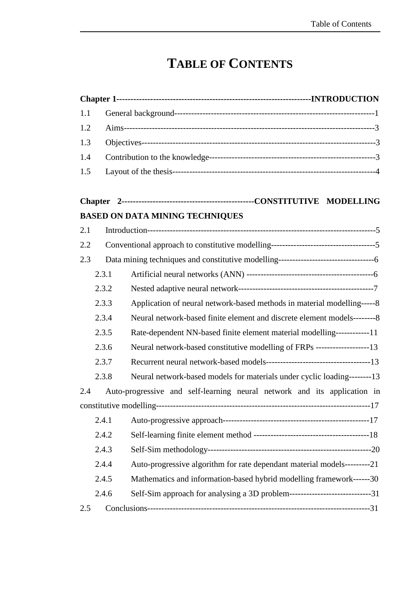## **TABLE OF CONTENTS**

| 1.1 |       |                                                                               |
|-----|-------|-------------------------------------------------------------------------------|
| 1.2 |       |                                                                               |
| 1.3 |       |                                                                               |
| 1.4 |       |                                                                               |
| 1.5 |       |                                                                               |
|     |       |                                                                               |
|     |       | <b>BASED ON DATA MINING TECHNIQUES</b>                                        |
| 2.1 |       |                                                                               |
| 2.2 |       |                                                                               |
| 2.3 |       |                                                                               |
|     | 2.3.1 |                                                                               |
|     | 2.3.2 |                                                                               |
|     | 2.3.3 | Application of neural network-based methods in material modelling-----8       |
|     | 2.3.4 | Neural network-based finite element and discrete element models---------8     |
|     | 2.3.5 | Rate-dependent NN-based finite element material modelling------------11       |
|     | 2.3.6 | Neural network-based constitutive modelling of FRPs -------------------13     |
|     | 2.3.7 |                                                                               |
|     | 2.3.8 | Neural network-based models for materials under cyclic loading--------13      |
| 2.4 |       | Auto-progressive and self-learning neural network and its application in      |
|     |       |                                                                               |
|     | 2.4.1 |                                                                               |
|     | 2.4.2 |                                                                               |
|     | 2.4.3 |                                                                               |
|     | 2.4.4 | Auto-progressive algorithm for rate dependant material models---------21      |
|     | 2.4.5 | Mathematics and information-based hybrid modelling framework------30          |
|     | 2.4.6 | Self-Sim approach for analysing a 3D problem-------------------------------31 |
| 2.5 |       |                                                                               |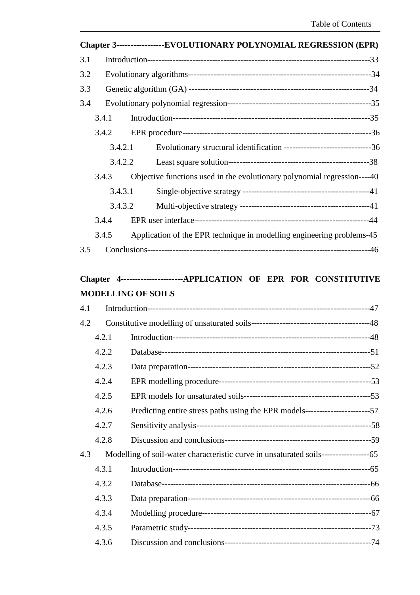|     |         | Chapter 3-----------------EVOLUTIONARY POLYNOMIAL REGRESSION (EPR)                      |
|-----|---------|-----------------------------------------------------------------------------------------|
| 3.1 |         |                                                                                         |
| 3.2 |         |                                                                                         |
| 3.3 |         |                                                                                         |
| 3.4 |         |                                                                                         |
|     | 3.4.1   |                                                                                         |
|     | 3.4.2   |                                                                                         |
|     |         | Evolutionary structural identification -----------------------------------36<br>3.4.2.1 |
|     | 3.4.2.2 |                                                                                         |
|     | 3.4.3   | Objective functions used in the evolutionary polynomial regression----40                |
|     | 3.4.3.1 |                                                                                         |
|     |         | 3.4.3.2                                                                                 |
|     | 3.4.4   |                                                                                         |
|     | 3.4.5   | Application of the EPR technique in modelling engineering problems-45                   |
| 3.5 |         |                                                                                         |

## **Chapter 4----------------------APPLICATION OF EPR FOR CONSTITUTIVE MODELLING OF SOILS**

| 4.1 |       |  |
|-----|-------|--|
| 4.2 |       |  |
|     | 4.2.1 |  |
|     | 4.2.2 |  |
|     | 4.2.3 |  |
|     | 4.2.4 |  |
|     | 4.2.5 |  |
|     | 4.2.6 |  |
|     | 4.2.7 |  |
|     | 4.2.8 |  |
| 4.3 |       |  |
|     | 4.3.1 |  |
|     | 4.3.2 |  |
|     | 4.3.3 |  |
|     | 4.3.4 |  |
|     | 4.3.5 |  |
|     | 4.3.6 |  |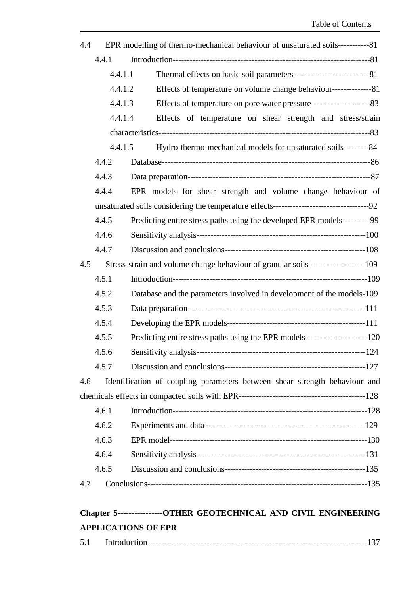| 4.4 |         | EPR modelling of thermo-mechanical behaviour of unsaturated soils------------81      |  |
|-----|---------|--------------------------------------------------------------------------------------|--|
|     | 4.4.1   |                                                                                      |  |
|     | 4.4.1.1 |                                                                                      |  |
|     | 4.4.1.2 | Effects of temperature on volume change behaviour-----------------81                 |  |
|     | 4.4.1.3 |                                                                                      |  |
|     | 4.4.1.4 | Effects of temperature on shear strength and stress/strain                           |  |
|     |         |                                                                                      |  |
|     | 4.4.1.5 | Hydro-thermo-mechanical models for unsaturated soils---------84                      |  |
|     | 4.4.2   |                                                                                      |  |
|     | 4.4.3   |                                                                                      |  |
|     | 4.4.4   | EPR models for shear strength and volume change behaviour of                         |  |
|     |         |                                                                                      |  |
|     | 4.4.5   | Predicting entire stress paths using the developed EPR models-----------99           |  |
|     | 4.4.6   |                                                                                      |  |
|     | 4.4.7   |                                                                                      |  |
| 4.5 |         | Stress-strain and volume change behaviour of granular soils----------------------109 |  |
|     | 4.5.1   |                                                                                      |  |
|     | 4.5.2   | Database and the parameters involved in development of the models-109                |  |
|     | 4.5.3   |                                                                                      |  |
|     | 4.5.4   |                                                                                      |  |
|     | 4.5.5   | Predicting entire stress paths using the EPR models------------------------120       |  |
|     | 4.5.6   |                                                                                      |  |
|     | 4.5.7   |                                                                                      |  |
| 4.6 |         | Identification of coupling parameters between shear strength behaviour and           |  |
|     |         |                                                                                      |  |
|     | 4.6.1   |                                                                                      |  |
|     | 4.6.2   |                                                                                      |  |
|     | 4.6.3   |                                                                                      |  |
|     | 4.6.4   |                                                                                      |  |
|     | 4.6.5   |                                                                                      |  |
| 4.7 |         |                                                                                      |  |
|     |         |                                                                                      |  |

## **Chapter 5----------------OTHER GEOTECHNICAL AND CIVIL ENGINEERING APPLICATIONS OF EPR**

| ັ້ |  |  |  |
|----|--|--|--|
|----|--|--|--|